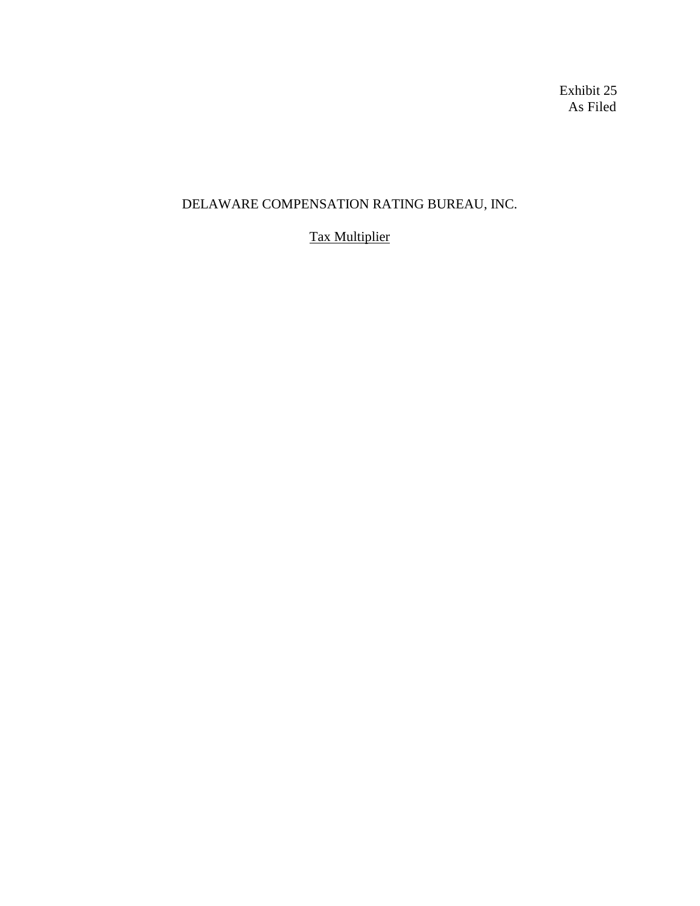Exhibit 25 As Filed

## DELAWARE COMPENSATION RATING BUREAU, INC.

## Tax Multiplier